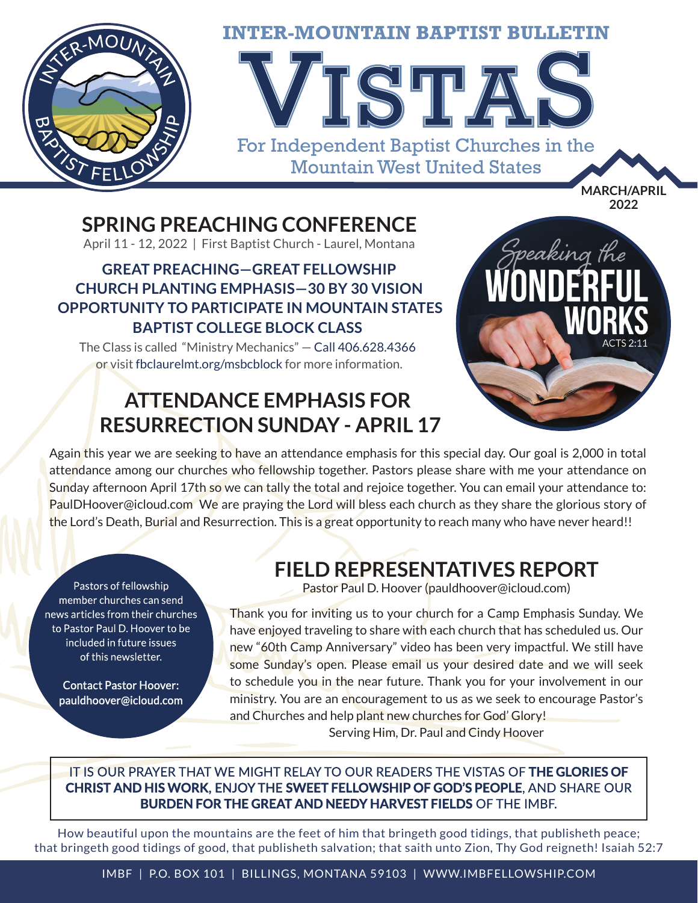

### **SPRING PREACHING CONFERENCE**

April 11 - 12, 2022 | First Baptist Church - Laurel, Montana

### **GREAT PREACHING—GREAT FELLOWSHIP CHURCH PLANTING EMPHASIS—30 BY 30 VISION OPPORTUNITY TO PARTICIPATE IN MOUNTAIN STATES BAPTIST COLLEGE BLOCK CLASS**

The Class is called "Ministry Mechanics" — Call 406.628.4366 or visit fbclaurelmt.org/msbcblock for more information.

## **ATTENDANCE EMPHASIS FOR RESURRECTION SUNDAY - APRIL 17**



Again this year we are seeking to have an attendance emphasis for this special day. Our goal is 2,000 in total attendance among our churches who fellowship together. Pastors please share with me your attendance on Sunday afternoon April 17th so we can tally the total and rejoice together. You can email your attendance to: PaulDHoover@icloud.com We are praying the Lord will bless each church as they share the glorious story of the Lord's Death, Burial and Resurrection. This is a great opportunity to reach many who have never heard!!

Pastors of fellowship member churches can send news articles from their churches to Pastor Paul D. Hoover to be included in future issues of this newsletter.

**Contact Pastor Hoover:** pauldhoover@icloud.com

# **FIELD REPRESENTATIVES REPORT**

Pastor Paul D. Hoover (pauldhoover@icloud.com)

Thank you for inviting us to your church for a Camp Emphasis Sunday. We have enjoyed traveling to share with each church that has scheduled us. Our new "60th Camp Anniversary" video has been very impactful. We still have some Sunday's open. Please email us your desired date and we will seek to schedule you in the near future. Thank you for your involvement in our ministry. You are an encouragement to us as we seek to encourage Pastor's and Churches and help plant new churches for God' Glory!

Serving Him, Dr. Paul and Cindy Hoover

#### IT IS OUR PRAYER THAT WE MIGHT RELAY TO OUR READERS THE VISTAS OF THE GLORIES OF **CHRIST AND HIS WORK. ENJOY THE SWEET FELLOWSHIP OF GOD'S PEOPLE.** AND SHARE OUR **BURDEN FOR THE GREAT AND NEEDY HARVEST FIELDS OF THE IMBF.**

How beautiful upon the mountains are the feet of him that bringeth good tidings, that publisheth peace; that bringeth good tidings of good, that publisheth salvation; that saith unto Zion, Thy God reigneth! Isaiah 52:7